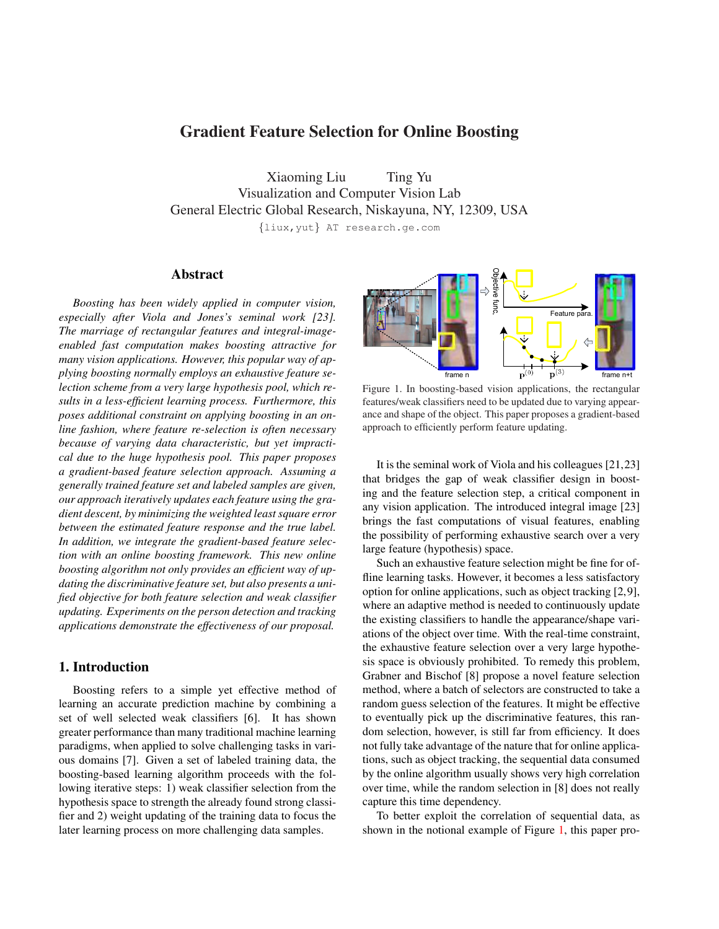# Gradient Feature Selection for Online Boosting

Xiaoming Liu Ting Yu Visualization and Computer Vision Lab General Electric Global Research, Niskayuna, NY, 12309, USA {liux,yut} AT research.ge.com

# Abstract

*Boosting has been widely applied in computer vision, especially after Viola and Jones's seminal work [23]. The marriage of rectangular features and integral-imageenabled fast computation makes boosting attractive for many vision applications. However, this popular way of applying boosting normally employs an exhaustive feature selection scheme from a very large hypothesis pool, which results in a less-efficient learning process. Furthermore, this poses additional constraint on applying boosting in an online fashion, where feature re-selection is often necessary because of varying data characteristic, but yet impractical due to the huge hypothesis pool. This paper proposes a gradient-based feature selection approach. Assuming a generally trained feature set and labeled samples are given, our approach iteratively updates each feature using the gradient descent, by minimizing the weighted least square error between the estimated feature response and the true label. In addition, we integrate the gradient-based feature selection with an online boosting framework. This new online boosting algorithm not only provides an efficient way of updating the discriminative feature set, but also presents a unified objective for both feature selection and weak classifier updating. Experiments on the person detection and tracking applications demonstrate the effectiveness of our proposal.*

# 1. Introduction

Boosting refers to a simple yet effective method of learning an accurate prediction machine by combining a set of well selected weak classifiers [6]. It has shown greater performance than many traditional machine learning paradigms, when applied to solve challenging tasks in various domains [7]. Given a set of labeled training data, the boosting-based learning algorithm proceeds with the following iterative steps: 1) weak classifier selection from the hypothesis space to strength the already found strong classifier and 2) weight updating of the training data to focus the later learning process on more challenging data samples.



Figure 1. In boosting-based vision applications, the rectangular features/weak classifiers need to be updated due to varying appearance and shape of the object. This paper proposes a gradient-based approach to efficiently perform feature updating.

It is the seminal work of Viola and his colleagues [21,23] that bridges the gap of weak classifier design in boosting and the feature selection step, a critical component in any vision application. The introduced integral image [23] brings the fast computations of visual features, enabling the possibility of performing exhaustive search over a very large feature (hypothesis) space.

Such an exhaustive feature selection might be fine for offline learning tasks. However, it becomes a less satisfactory option for online applications, such as object tracking [2,9], where an adaptive method is needed to continuously update the existing classifiers to handle the appearance/shape variations of the object over time. With the real-time constraint, the exhaustive feature selection over a very large hypothesis space is obviously prohibited. To remedy this problem, Grabner and Bischof [8] propose a novel feature selection method, where a batch of selectors are constructed to take a random guess selection of the features. It might be effective to eventually pick up the discriminative features, this random selection, however, is still far from efficiency. It does not fully take advantage of the nature that for online applications, such as object tracking, the sequential data consumed by the online algorithm usually shows very high correlation over time, while the random selection in [8] does not really capture this time dependency.

To better exploit the correlation of sequential data, as shown in the notional example of Figure 1, this paper pro-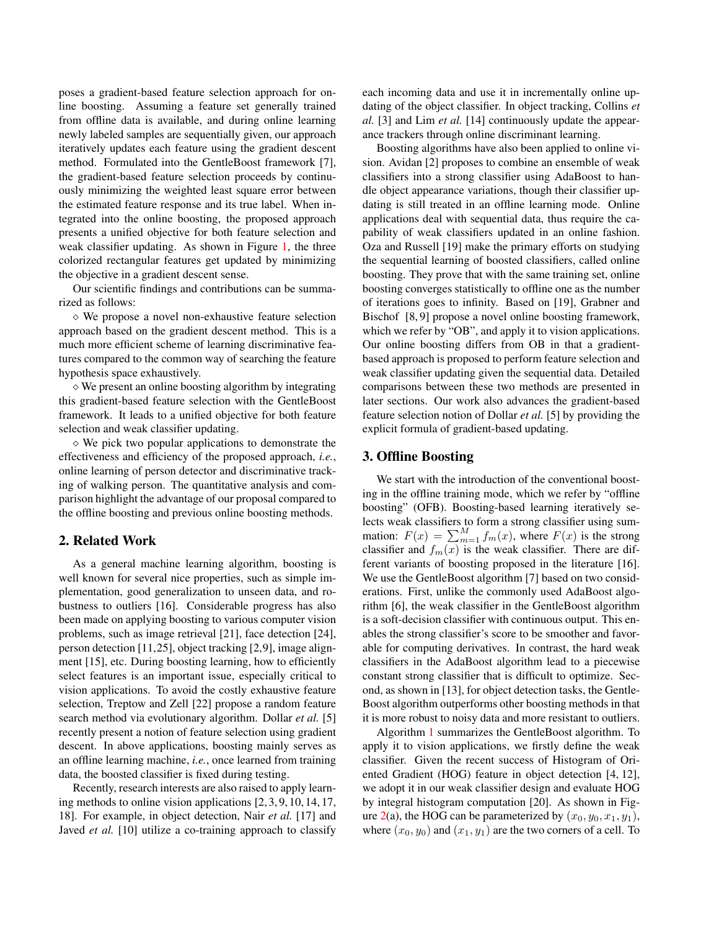poses a gradient-based feature selection approach for online boosting. Assuming a feature set generally trained from offline data is available, and during online learning newly labeled samples are sequentially given, our approach iteratively updates each feature using the gradient descent method. Formulated into the GentleBoost framework [7], the gradient-based feature selection proceeds by continuously minimizing the weighted least square error between the estimated feature response and its true label. When integrated into the online boosting, the proposed approach presents a unified objective for both feature selection and weak classifier updating. As shown in Figure 1, the three colorized rectangular features get updated by minimizing the objective in a gradient descent sense.

Our scientific findings and contributions can be summarized as follows:

 $\diamond$  We propose a novel non-exhaustive feature selection approach based on the gradient descent method. This is a much more efficient scheme of learning discriminative features compared to the common way of searching the feature hypothesis space exhaustively.

 $\diamond$  We present an online boosting algorithm by integrating this gradient-based feature selection with the GentleBoost framework. It leads to a unified objective for both feature selection and weak classifier updating.

 $\diamond$  We pick two popular applications to demonstrate the effectiveness and efficiency of the proposed approach, *i.e.*, online learning of person detector and discriminative tracking of walking person. The quantitative analysis and comparison highlight the advantage of our proposal compared to the offline boosting and previous online boosting methods.

# 2. Related Work

As a general machine learning algorithm, boosting is well known for several nice properties, such as simple implementation, good generalization to unseen data, and robustness to outliers [16]. Considerable progress has also been made on applying boosting to various computer vision problems, such as image retrieval [21], face detection [24], person detection [11,25], object tracking [2,9], image alignment [15], etc. During boosting learning, how to efficiently select features is an important issue, especially critical to vision applications. To avoid the costly exhaustive feature selection, Treptow and Zell [22] propose a random feature search method via evolutionary algorithm. Dollar *et al.* [5] recently present a notion of feature selection using gradient descent. In above applications, boosting mainly serves as an offline learning machine, *i.e.*, once learned from training data, the boosted classifier is fixed during testing.

Recently, research interests are also raised to apply learning methods to online vision applications [2, 3, 9, 10, 14, 17, 18]. For example, in object detection, Nair *et al.* [17] and Javed *et al.* [10] utilize a co-training approach to classify each incoming data and use it in incrementally online updating of the object classifier. In object tracking, Collins *et al.* [3] and Lim *et al.* [14] continuously update the appearance trackers through online discriminant learning.

Boosting algorithms have also been applied to online vision. Avidan [2] proposes to combine an ensemble of weak classifiers into a strong classifier using AdaBoost to handle object appearance variations, though their classifier updating is still treated in an offline learning mode. Online applications deal with sequential data, thus require the capability of weak classifiers updated in an online fashion. Oza and Russell [19] make the primary efforts on studying the sequential learning of boosted classifiers, called online boosting. They prove that with the same training set, online boosting converges statistically to offline one as the number of iterations goes to infinity. Based on [19], Grabner and Bischof [8, 9] propose a novel online boosting framework, which we refer by "OB", and apply it to vision applications. Our online boosting differs from OB in that a gradientbased approach is proposed to perform feature selection and weak classifier updating given the sequential data. Detailed comparisons between these two methods are presented in later sections. Our work also advances the gradient-based feature selection notion of Dollar *et al.* [5] by providing the explicit formula of gradient-based updating.

# 3. Offline Boosting

We start with the introduction of the conventional boosting in the offline training mode, which we refer by "offline boosting" (OFB). Boosting-based learning iteratively selects weak classifiers to form a strong classifier using summation:  $F(x) = \sum_{m=1}^{M} f_m(x)$ , where  $F(x)$  is the strong classifier and  $f_m(x)$  is the weak classifier. There are different variants of boosting proposed in the literature [16]. We use the GentleBoost algorithm [7] based on two considerations. First, unlike the commonly used AdaBoost algorithm [6], the weak classifier in the GentleBoost algorithm is a soft-decision classifier with continuous output. This enables the strong classifier's score to be smoother and favorable for computing derivatives. In contrast, the hard weak classifiers in the AdaBoost algorithm lead to a piecewise constant strong classifier that is difficult to optimize. Second, as shown in [13], for object detection tasks, the Gentle-Boost algorithm outperforms other boosting methods in that it is more robust to noisy data and more resistant to outliers.

Algorithm 1 summarizes the GentleBoost algorithm. To apply it to vision applications, we firstly define the weak classifier. Given the recent success of Histogram of Oriented Gradient (HOG) feature in object detection [4, 12], we adopt it in our weak classifier design and evaluate HOG by integral histogram computation [20]. As shown in Figure 2(a), the HOG can be parameterized by  $(x_0, y_0, x_1, y_1)$ , where  $(x_0, y_0)$  and  $(x_1, y_1)$  are the two corners of a cell. To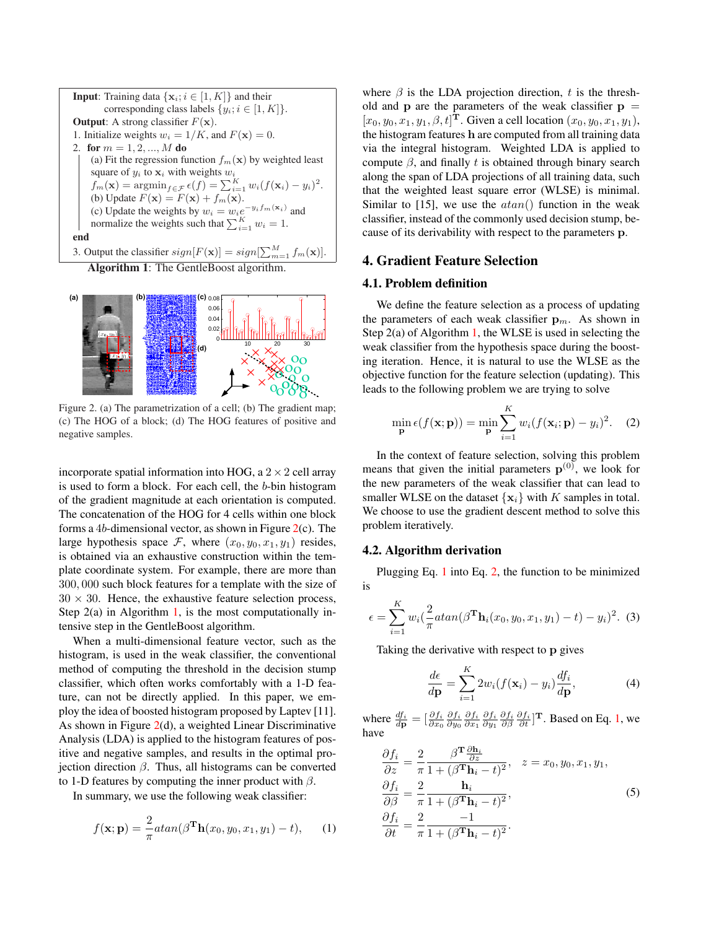**Input:** Training data  $\{x_i; i \in [1, K]\}\$  and their corresponding class labels  $\{y_i; i \in [1, K]\}.$ **Output:** A strong classifier  $F(\mathbf{x})$ . 1. Initialize weights  $w_i = 1/K$ , and  $F(\mathbf{x}) = 0$ . 2. for  $m = 1, 2, ..., M$  do (a) Fit the regression function  $f_m(\mathbf{x})$  by weighted least square of  $y_i$  to  $\mathbf{x}_i$  with weights  $w_i$ <br>  $f_m(\mathbf{x}) = \operatorname{argmin}_{f \in \mathcal{F}} \epsilon(f) = \sum_{i=1}^K w_i (f(\mathbf{x}_i) - y_i)^2$ . (b) Update  $F(\mathbf{x}) = F(\mathbf{x}) + f_m(\mathbf{x})$ . (c) Update the weights by  $w_i = w_i e^{-y_i f_m(\mathbf{x}_i)}$  and normalize the weights such that  $\sum_{i=1}^{K} w_i = 1$ . end 3. Output the classifier  $sign[F(\mathbf{x})] = sign[\sum_{m=1}^{M} f_m(\mathbf{x})]$ .





Figure 2. (a) The parametrization of a cell; (b) The gradient map; (c) The HOG of a block; (d) The HOG features of positive and negative samples.

incorporate spatial information into HOG, a  $2 \times 2$  cell array is used to form a block. For each cell, the b-bin histogram of the gradient magnitude at each orientation is computed. The concatenation of the HOG for 4 cells within one block forms a 4b-dimensional vector, as shown in Figure  $2(c)$ . The large hypothesis space F, where  $(x_0, y_0, x_1, y_1)$  resides, is obtained via an exhaustive construction within the template coordinate system. For example, there are more than 300, 000 such block features for a template with the size of  $30 \times 30$ . Hence, the exhaustive feature selection process, Step  $2(a)$  in Algorithm 1, is the most computationally intensive step in the GentleBoost algorithm.

When a multi-dimensional feature vector, such as the histogram, is used in the weak classifier, the conventional method of computing the threshold in the decision stump classifier, which often works comfortably with a 1-D feature, can not be directly applied. In this paper, we employ the idea of boosted histogram proposed by Laptev [11]. As shown in Figure  $2(d)$ , a weighted Linear Discriminative Analysis (LDA) is applied to the histogram features of positive and negative samples, and results in the optimal projection direction β. Thus, all histograms can be converted to 1-D features by computing the inner product with  $\beta$ .

In summary, we use the following weak classifier:

$$
f(\mathbf{x}; \mathbf{p}) = \frac{2}{\pi} \alpha \tan(\beta^{\mathbf{T}} \mathbf{h}(x_0, y_0, x_1, y_1) - t), \quad (1)
$$

where  $\beta$  is the LDA projection direction, t is the threshold and  $\bf{p}$  are the parameters of the weak classifier  $\bf{p}$  =  $[x_0, y_0, x_1, y_1, \beta, t]$ <sup>T</sup>. Given a cell location  $(x_0, y_0, x_1, y_1)$ , the histogram features h are computed from all training data via the integral histogram. Weighted LDA is applied to compute  $\beta$ , and finally t is obtained through binary search along the span of LDA projections of all training data, such that the weighted least square error (WLSE) is minimal. Similar to [15], we use the  $atan()$  function in the weak classifier, instead of the commonly used decision stump, because of its derivability with respect to the parameters p.

# 4. Gradient Feature Selection

## 4.1. Problem definition

We define the feature selection as a process of updating the parameters of each weak classifier  $\mathbf{p}_m$ . As shown in Step 2(a) of Algorithm 1, the WLSE is used in selecting the weak classifier from the hypothesis space during the boosting iteration. Hence, it is natural to use the WLSE as the objective function for the feature selection (updating). This leads to the following problem we are trying to solve

$$
\min_{\mathbf{p}} \epsilon(f(\mathbf{x}; \mathbf{p})) = \min_{\mathbf{p}} \sum_{i=1}^{K} w_i (f(\mathbf{x}_i; \mathbf{p}) - y_i)^2.
$$
 (2)

In the context of feature selection, solving this problem means that given the initial parameters  $p^{(0)}$ , we look for the new parameters of the weak classifier that can lead to smaller WLSE on the dataset  $\{x_i\}$  with K samples in total. We choose to use the gradient descent method to solve this problem iteratively.

## 4.2. Algorithm derivation

Plugging Eq. 1 into Eq. 2, the function to be minimized is

$$
\epsilon = \sum_{i=1}^{K} w_i \left( \frac{2}{\pi} \operatorname{atan}(\beta^{\mathbf{T}} \mathbf{h}_i(x_0, y_0, x_1, y_1) - t) - y_i \right)^2.
$$
 (3)

Taking the derivative with respect to p gives

$$
\frac{d\epsilon}{d\mathbf{p}} = \sum_{i=1}^{K} 2w_i (f(\mathbf{x}_i) - y_i) \frac{df_i}{d\mathbf{p}},\tag{4}
$$

where  $\frac{df_i}{d\mathbf{p}} = \left[\frac{\partial f_i}{\partial x_0} \frac{\partial f_i}{\partial y_0} \frac{\partial f_i}{\partial x_1} \frac{\partial f_i}{\partial y_1} \frac{\partial f_i}{\partial \beta} \frac{\partial f_i}{\partial t}\right] \mathbf{T}$ . Based on Eq. 1, we have

$$
\frac{\partial f_i}{\partial z} = \frac{2}{\pi} \frac{\beta^{\mathbf{T}} \frac{\partial \mathbf{h}_i}{\partial z}}{1 + (\beta^{\mathbf{T}} \mathbf{h}_i - t)^2}, \quad z = x_0, y_0, x_1, y_1,
$$
  
\n
$$
\frac{\partial f_i}{\partial \beta} = \frac{2}{\pi} \frac{\mathbf{h}_i}{1 + (\beta^{\mathbf{T}} \mathbf{h}_i - t)^2},
$$
  
\n
$$
\frac{\partial f_i}{\partial t} = \frac{2}{\pi} \frac{-1}{1 + (\beta^{\mathbf{T}} \mathbf{h}_i - t)^2}.
$$
\n(5)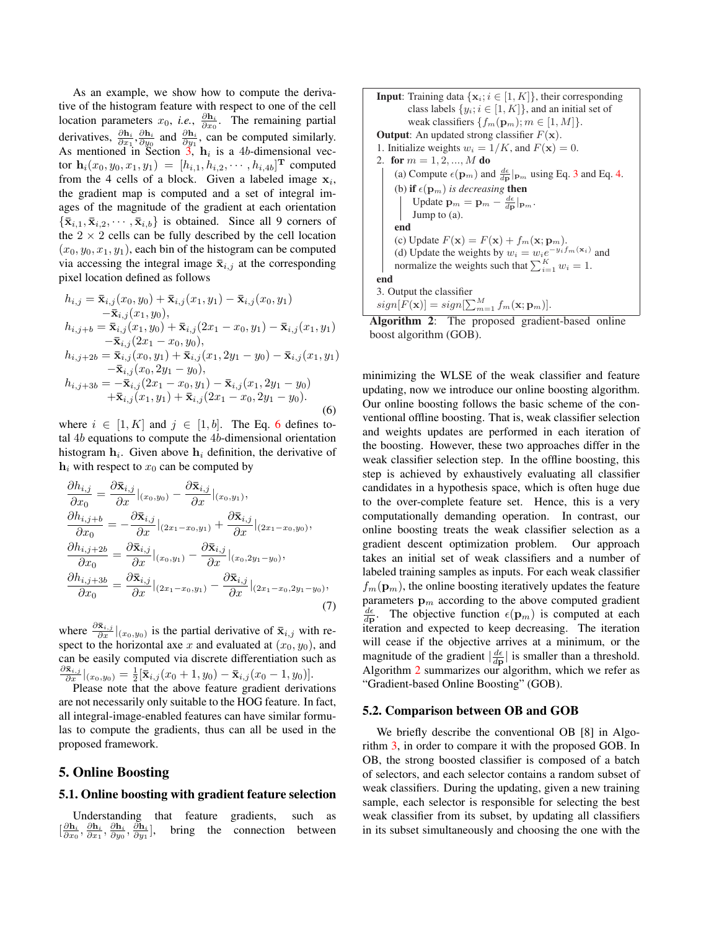As an example, we show how to compute the derivative of the histogram feature with respect to one of the cell location parameters  $x_0$ , *i.e.*,  $\frac{\partial \mathbf{h}_i}{\partial x_0}$ . The remaining partial derivatives,  $\frac{\partial \mathbf{h}_i}{\partial x_1}, \frac{\partial \mathbf{h}_i}{\partial y_0}$  and  $\frac{\partial \mathbf{h}_i}{\partial y_1}$ , can be computed similarly. As mentioned in Section 3,  $\mathbf{h}_i$  is a 4b-dimensional vector  $\mathbf{h}_i(x_0, y_0, x_1, y_1) = [h_{i,1}, h_{i,2}, \cdots, h_{i,4b}]^{\text{T}}$  computed from the 4 cells of a block. Given a labeled image  $x_i$ , the gradient map is computed and a set of integral images of the magnitude of the gradient at each orientation  $\{\bar{\mathbf{x}}_{i,1}, \bar{\mathbf{x}}_{i,2}, \cdots, \bar{\mathbf{x}}_{i,b}\}\$ is obtained. Since all 9 corners of the  $2 \times 2$  cells can be fully described by the cell location  $(x_0, y_0, x_1, y_1)$ , each bin of the histogram can be computed via accessing the integral image  $\bar{\mathbf{x}}_{i,j}$  at the corresponding pixel location defined as follows

$$
h_{i,j} = \bar{\mathbf{x}}_{i,j}(x_0, y_0) + \bar{\mathbf{x}}_{i,j}(x_1, y_1) - \bar{\mathbf{x}}_{i,j}(x_0, y_1)
$$
  
\n
$$
-\bar{\mathbf{x}}_{i,j}(x_1, y_0),
$$
  
\n
$$
h_{i,j+b} = \bar{\mathbf{x}}_{i,j}(x_1, y_0) + \bar{\mathbf{x}}_{i,j}(2x_1 - x_0, y_1) - \bar{\mathbf{x}}_{i,j}(x_1, y_1)
$$
  
\n
$$
-\bar{\mathbf{x}}_{i,j}(2x_1 - x_0, y_0),
$$
  
\n
$$
h_{i,j+2b} = \bar{\mathbf{x}}_{i,j}(x_0, y_1) + \bar{\mathbf{x}}_{i,j}(x_1, 2y_1 - y_0) - \bar{\mathbf{x}}_{i,j}(x_1, y_1)
$$
  
\n
$$
-\bar{\mathbf{x}}_{i,j}(x_0, 2y_1 - y_0),
$$
  
\n
$$
h_{i,j+3b} = -\bar{\mathbf{x}}_{i,j}(2x_1 - x_0, y_1) - \bar{\mathbf{x}}_{i,j}(x_1, 2y_1 - y_0)
$$
  
\n
$$
+\bar{\mathbf{x}}_{i,j}(x_1, y_1) + \bar{\mathbf{x}}_{i,j}(2x_1 - x_0, 2y_1 - y_0).
$$
  
\n(6)

where  $i \in [1, K]$  and  $j \in [1, b]$ . The Eq. 6 defines total 4b equations to compute the 4b-dimensional orientation histogram  $h_i$ . Given above  $h_i$  definition, the derivative of  $h_i$  with respect to  $x_0$  can be computed by

$$
\frac{\partial h_{i,j}}{\partial x_0} = \frac{\partial \bar{\mathbf{x}}_{i,j}}{\partial x}|_{(x_0, y_0)} - \frac{\partial \bar{\mathbf{x}}_{i,j}}{\partial x}|_{(x_0, y_1)},
$$
\n
$$
\frac{\partial h_{i,j+b}}{\partial x_0} = -\frac{\partial \bar{\mathbf{x}}_{i,j}}{\partial x}|_{(2x_1 - x_0, y_1)} + \frac{\partial \bar{\mathbf{x}}_{i,j}}{\partial x}|_{(2x_1 - x_0, y_0)},
$$
\n
$$
\frac{\partial h_{i,j+2b}}{\partial x_0} = \frac{\partial \bar{\mathbf{x}}_{i,j}}{\partial x}|_{(x_0, y_1)} - \frac{\partial \bar{\mathbf{x}}_{i,j}}{\partial x}|_{(x_0, 2y_1 - y_0)},
$$
\n
$$
\frac{\partial h_{i,j+3b}}{\partial x_0} = \frac{\partial \bar{\mathbf{x}}_{i,j}}{\partial x}|_{(2x_1 - x_0, y_1)} - \frac{\partial \bar{\mathbf{x}}_{i,j}}{\partial x}|_{(2x_1 - x_0, 2y_1 - y_0)},
$$
\n(7)

where  $\frac{\partial \bar{\mathbf{x}}_{i,j}}{\partial x}|_{(x_0, y_0)}$  is the partial derivative of  $\bar{\mathbf{x}}_{i,j}$  with respect to the horizontal axe x and evaluated at  $(x_0, y_0)$ , and can be easily computed via discrete differentiation such as  $\frac{\partial \bar{\mathbf{x}}_{i,j}}{\partial x}|_{(x_0,y_0)} = \frac{1}{2} [\bar{\mathbf{x}}_{i,j}(x_0+1,y_0) - \bar{\mathbf{x}}_{i,j}(x_0-1,y_0)].$ 

Please note that the above feature gradient derivations are not necessarily only suitable to the HOG feature. In fact, all integral-image-enabled features can have similar formulas to compute the gradients, thus can all be used in the proposed framework.

# 5. Online Boosting

#### 5.1. Online boosting with gradient feature selection

Understanding that feature gradients, such as  $[\frac{\partial \mathbf{h}_i}{\partial x_0}, \frac{\partial \mathbf{h}_i}{\partial x_1}, \frac{\partial \mathbf{h}_i}{\partial y_0}, \frac{\partial \mathbf{h}_i}{\partial y_1}]$ bring the connection between **Input**: Training data  $\{x_i; i \in [1, K]\}$ , their corresponding class labels  $\{y_i; i \in [1, K]\}$ , and an initial set of weak classifiers  $\{f_m(\mathbf{p}_m); m \in [1, M]\}.$ **Output:** An updated strong classifier  $F(\mathbf{x})$ . 1. Initialize weights  $w_i = 1/K$ , and  $F(\mathbf{x}) = 0$ . 2. for  $m = 1, 2, ..., M$  do (a) Compute  $\epsilon(\mathbf{p}_m)$  and  $\frac{d\epsilon}{dp}|_{\mathbf{p}_m}$  using Eq. 3 and Eq. 4. (b) if  $\epsilon(\mathbf{p}_m)$  *is decreasing* then Update  $\mathbf{p}_m = \mathbf{p}_m - \frac{d\epsilon}{d\mathbf{p}}|_{\mathbf{p}_m}$ . Jump to (a). end (c) Update  $F(\mathbf{x}) = F(\mathbf{x}) + f_m(\mathbf{x}; \mathbf{p}_m)$ . (d) Update the weights by  $w_i = w_i e^{-y_i f_m(\mathbf{x}_i)}$  and normalize the weights such that  $\sum_{i=1}^{K} w_i = 1$ . end 3. Output the classifier sign[ $F(\mathbf{x})$ ] =  $sign[\sum_{m=1}^{M} f_m(\mathbf{x}; \mathbf{p}_m)]$ .

Algorithm 2: The proposed gradient-based online boost algorithm (GOB).

minimizing the WLSE of the weak classifier and feature updating, now we introduce our online boosting algorithm. Our online boosting follows the basic scheme of the conventional offline boosting. That is, weak classifier selection and weights updates are performed in each iteration of the boosting. However, these two approaches differ in the weak classifier selection step. In the offline boosting, this step is achieved by exhaustively evaluating all classifier candidates in a hypothesis space, which is often huge due to the over-complete feature set. Hence, this is a very computationally demanding operation. In contrast, our online boosting treats the weak classifier selection as a gradient descent optimization problem. Our approach takes an initial set of weak classifiers and a number of labeled training samples as inputs. For each weak classifier  $f_m(\mathbf{p}_m)$ , the online boosting iteratively updates the feature parameters  $\mathbf{p}_m$  according to the above computed gradient  $\frac{d\epsilon}{dp}$ . The objective function  $\epsilon(\mathbf{p}_m)$  is computed at each iteration and expected to keep decreasing. The iteration will cease if the objective arrives at a minimum, or the magnitude of the gradient  $\left|\frac{d\epsilon}{dp}\right|$  is smaller than a threshold. Algorithm 2 summarizes our algorithm, which we refer as "Gradient-based Online Boosting" (GOB).

#### 5.2. Comparison between OB and GOB

We briefly describe the conventional OB [8] in Algorithm 3, in order to compare it with the proposed GOB. In OB, the strong boosted classifier is composed of a batch of selectors, and each selector contains a random subset of weak classifiers. During the updating, given a new training sample, each selector is responsible for selecting the best weak classifier from its subset, by updating all classifiers in its subset simultaneously and choosing the one with the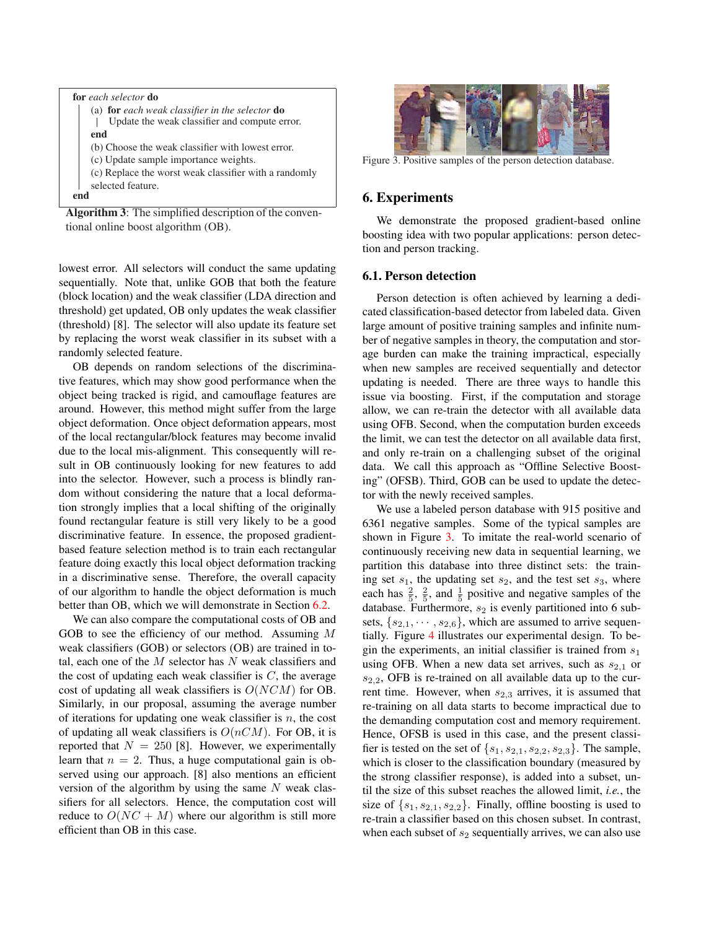| for each selector do                                  |  |
|-------------------------------------------------------|--|
| (a) for each weak classifier in the selector $do$     |  |
| Update the weak classifier and compute error.         |  |
| end                                                   |  |
| (b) Choose the weak classifier with lowest error.     |  |
| (c) Update sample importance weights.                 |  |
| (c) Replace the worst weak classifier with a randomly |  |
| selected feature.                                     |  |
| end                                                   |  |

Algorithm 3: The simplified description of the conventional online boost algorithm (OB).

lowest error. All selectors will conduct the same updating sequentially. Note that, unlike GOB that both the feature (block location) and the weak classifier (LDA direction and threshold) get updated, OB only updates the weak classifier (threshold) [8]. The selector will also update its feature set by replacing the worst weak classifier in its subset with a randomly selected feature.

OB depends on random selections of the discriminative features, which may show good performance when the object being tracked is rigid, and camouflage features are around. However, this method might suffer from the large object deformation. Once object deformation appears, most of the local rectangular/block features may become invalid due to the local mis-alignment. This consequently will result in OB continuously looking for new features to add into the selector. However, such a process is blindly random without considering the nature that a local deformation strongly implies that a local shifting of the originally found rectangular feature is still very likely to be a good discriminative feature. In essence, the proposed gradientbased feature selection method is to train each rectangular feature doing exactly this local object deformation tracking in a discriminative sense. Therefore, the overall capacity of our algorithm to handle the object deformation is much better than OB, which we will demonstrate in Section 6.2.

We can also compare the computational costs of OB and GOB to see the efficiency of our method. Assuming M weak classifiers (GOB) or selectors (OB) are trained in total, each one of the  $M$  selector has  $N$  weak classifiers and the cost of updating each weak classifier is  $C$ , the average cost of updating all weak classifiers is  $O(NCM)$  for OB. Similarly, in our proposal, assuming the average number of iterations for updating one weak classifier is  $n$ , the cost of updating all weak classifiers is  $O(nCM)$ . For OB, it is reported that  $N = 250$  [8]. However, we experimentally learn that  $n = 2$ . Thus, a huge computational gain is observed using our approach. [8] also mentions an efficient version of the algorithm by using the same  $N$  weak classifiers for all selectors. Hence, the computation cost will reduce to  $O(NC + M)$  where our algorithm is still more efficient than OB in this case.



Figure 3. Positive samples of the person detection database.

# 6. Experiments

We demonstrate the proposed gradient-based online boosting idea with two popular applications: person detection and person tracking.

# 6.1. Person detection

Person detection is often achieved by learning a dedicated classification-based detector from labeled data. Given large amount of positive training samples and infinite number of negative samples in theory, the computation and storage burden can make the training impractical, especially when new samples are received sequentially and detector updating is needed. There are three ways to handle this issue via boosting. First, if the computation and storage allow, we can re-train the detector with all available data using OFB. Second, when the computation burden exceeds the limit, we can test the detector on all available data first, and only re-train on a challenging subset of the original data. We call this approach as "Offline Selective Boosting" (OFSB). Third, GOB can be used to update the detector with the newly received samples.

We use a labeled person database with 915 positive and 6361 negative samples. Some of the typical samples are shown in Figure 3. To imitate the real-world scenario of continuously receiving new data in sequential learning, we partition this database into three distinct sets: the training set  $s_1$ , the updating set  $s_2$ , and the test set  $s_3$ , where each has  $\frac{2}{5}$ ,  $\frac{2}{5}$ , and  $\frac{1}{5}$  positive and negative samples of the database. Furthermore,  $s_2$  is evenly partitioned into 6 subsets,  $\{s_{2,1}, \dots, s_{2,6}\}$ , which are assumed to arrive sequentially. Figure 4 illustrates our experimental design. To begin the experiments, an initial classifier is trained from  $s_1$ using OFB. When a new data set arrives, such as  $s_{2,1}$  or  $s_{2,2}$ , OFB is re-trained on all available data up to the current time. However, when  $s_{2,3}$  arrives, it is assumed that re-training on all data starts to become impractical due to the demanding computation cost and memory requirement. Hence, OFSB is used in this case, and the present classifier is tested on the set of  $\{s_1, s_{2,1}, s_{2,2}, s_{2,3}\}$ . The sample, which is closer to the classification boundary (measured by the strong classifier response), is added into a subset, until the size of this subset reaches the allowed limit, *i.e.*, the size of  $\{s_1, s_{2,1}, s_{2,2}\}$ . Finally, offline boosting is used to re-train a classifier based on this chosen subset. In contrast, when each subset of  $s_2$  sequentially arrives, we can also use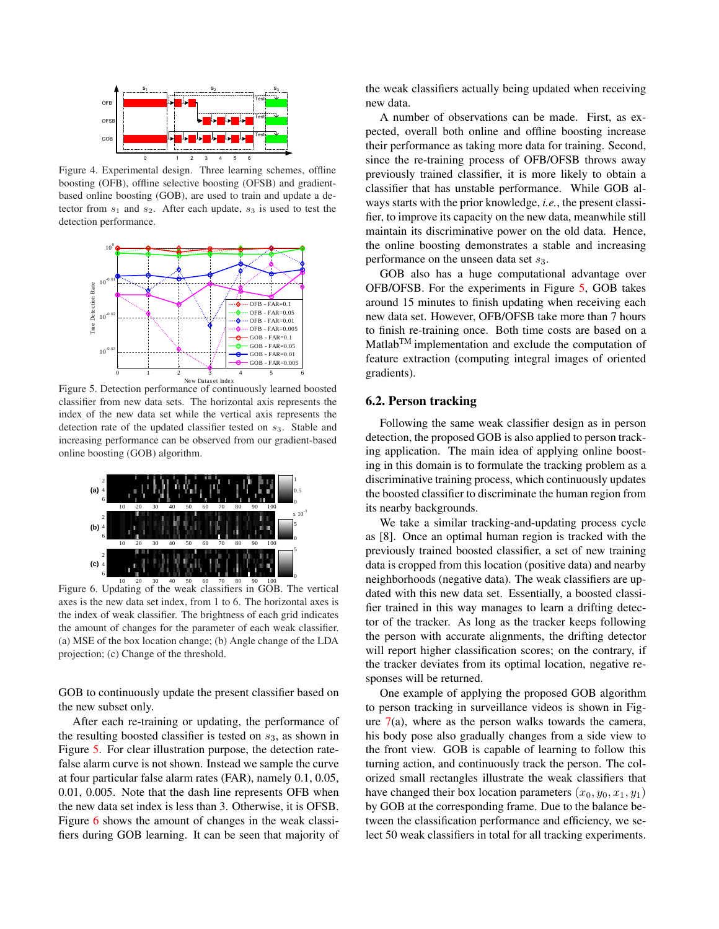

Figure 4. Experimental design. Three learning schemes, offline boosting (OFB), offline selective boosting (OFSB) and gradientbased online boosting (GOB), are used to train and update a detector from  $s_1$  and  $s_2$ . After each update,  $s_3$  is used to test the detection performance.



Figure 5. Detection performance of continuously learned boosted classifier from new data sets. The horizontal axis represents the index of the new data set while the vertical axis represents the detection rate of the updated classifier tested on  $s<sub>3</sub>$ . Stable and increasing performance can be observed from our gradient-based online boosting (GOB) algorithm.



Figure 6. Updating of the weak classifiers in GOB. The vertical axes is the new data set index, from 1 to 6. The horizontal axes is the index of weak classifier. The brightness of each grid indicates the amount of changes for the parameter of each weak classifier. (a) MSE of the box location change; (b) Angle change of the LDA projection; (c) Change of the threshold.

GOB to continuously update the present classifier based on the new subset only.

After each re-training or updating, the performance of the resulting boosted classifier is tested on  $s_3$ , as shown in Figure 5. For clear illustration purpose, the detection ratefalse alarm curve is not shown. Instead we sample the curve at four particular false alarm rates (FAR), namely 0.1, 0.05, 0.01, 0.005. Note that the dash line represents OFB when the new data set index is less than 3. Otherwise, it is OFSB. Figure 6 shows the amount of changes in the weak classifiers during GOB learning. It can be seen that majority of the weak classifiers actually being updated when receiving new data.

A number of observations can be made. First, as expected, overall both online and offline boosting increase their performance as taking more data for training. Second, since the re-training process of OFB/OFSB throws away previously trained classifier, it is more likely to obtain a classifier that has unstable performance. While GOB always starts with the prior knowledge, *i.e.*, the present classifier, to improve its capacity on the new data, meanwhile still maintain its discriminative power on the old data. Hence, the online boosting demonstrates a stable and increasing performance on the unseen data set  $s_3$ .

GOB also has a huge computational advantage over OFB/OFSB. For the experiments in Figure 5, GOB takes around 15 minutes to finish updating when receiving each new data set. However, OFB/OFSB take more than 7 hours to finish re-training once. Both time costs are based on a  $\text{Matlab}^{\text{TM}}$  implementation and exclude the computation of feature extraction (computing integral images of oriented gradients).

#### 6.2. Person tracking

Following the same weak classifier design as in person detection, the proposed GOB is also applied to person tracking application. The main idea of applying online boosting in this domain is to formulate the tracking problem as a discriminative training process, which continuously updates the boosted classifier to discriminate the human region from its nearby backgrounds.

We take a similar tracking-and-updating process cycle as [8]. Once an optimal human region is tracked with the previously trained boosted classifier, a set of new training data is cropped from this location (positive data) and nearby neighborhoods (negative data). The weak classifiers are updated with this new data set. Essentially, a boosted classifier trained in this way manages to learn a drifting detector of the tracker. As long as the tracker keeps following the person with accurate alignments, the drifting detector will report higher classification scores; on the contrary, if the tracker deviates from its optimal location, negative responses will be returned.

One example of applying the proposed GOB algorithm to person tracking in surveillance videos is shown in Figure  $7(a)$ , where as the person walks towards the camera, his body pose also gradually changes from a side view to the front view. GOB is capable of learning to follow this turning action, and continuously track the person. The colorized small rectangles illustrate the weak classifiers that have changed their box location parameters  $(x_0, y_0, x_1, y_1)$ by GOB at the corresponding frame. Due to the balance between the classification performance and efficiency, we select 50 weak classifiers in total for all tracking experiments.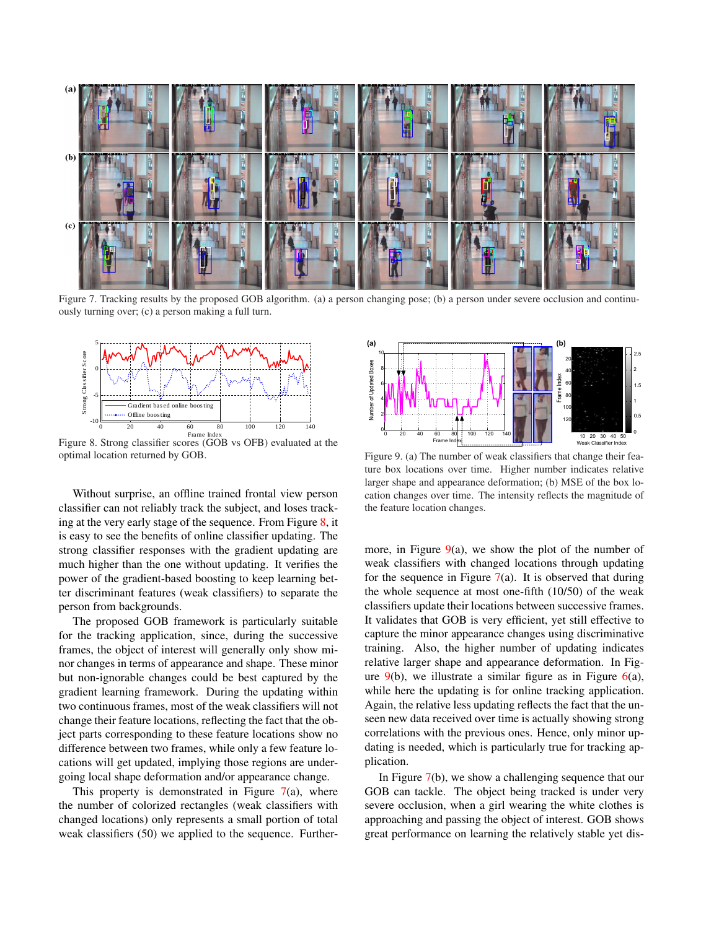

Figure 7. Tracking results by the proposed GOB algorithm. (a) a person changing pose; (b) a person under severe occlusion and continuously turning over; (c) a person making a full turn.



Figure 8. Strong classifier scores (GOB vs OFB) evaluated at the optimal location returned by GOB.

Without surprise, an offline trained frontal view person classifier can not reliably track the subject, and loses tracking at the very early stage of the sequence. From Figure 8, it is easy to see the benefits of online classifier updating. The strong classifier responses with the gradient updating are much higher than the one without updating. It verifies the power of the gradient-based boosting to keep learning better discriminant features (weak classifiers) to separate the person from backgrounds.

The proposed GOB framework is particularly suitable for the tracking application, since, during the successive frames, the object of interest will generally only show minor changes in terms of appearance and shape. These minor but non-ignorable changes could be best captured by the gradient learning framework. During the updating within two continuous frames, most of the weak classifiers will not change their feature locations, reflecting the fact that the object parts corresponding to these feature locations show no difference between two frames, while only a few feature locations will get updated, implying those regions are undergoing local shape deformation and/or appearance change.

This property is demonstrated in Figure  $7(a)$ , where the number of colorized rectangles (weak classifiers with changed locations) only represents a small portion of total weak classifiers (50) we applied to the sequence. Further-



Figure 9. (a) The number of weak classifiers that change their feature box locations over time. Higher number indicates relative larger shape and appearance deformation; (b) MSE of the box location changes over time. The intensity reflects the magnitude of the feature location changes.

more, in Figure  $9(a)$ , we show the plot of the number of weak classifiers with changed locations through updating for the sequence in Figure  $7(a)$ . It is observed that during the whole sequence at most one-fifth (10/50) of the weak classifiers update their locations between successive frames. It validates that GOB is very efficient, yet still effective to capture the minor appearance changes using discriminative training. Also, the higher number of updating indicates relative larger shape and appearance deformation. In Figure  $9(b)$ , we illustrate a similar figure as in Figure  $6(a)$ , while here the updating is for online tracking application. Again, the relative less updating reflects the fact that the unseen new data received over time is actually showing strong correlations with the previous ones. Hence, only minor updating is needed, which is particularly true for tracking application.

In Figure 7(b), we show a challenging sequence that our GOB can tackle. The object being tracked is under very severe occlusion, when a girl wearing the white clothes is approaching and passing the object of interest. GOB shows great performance on learning the relatively stable yet dis-